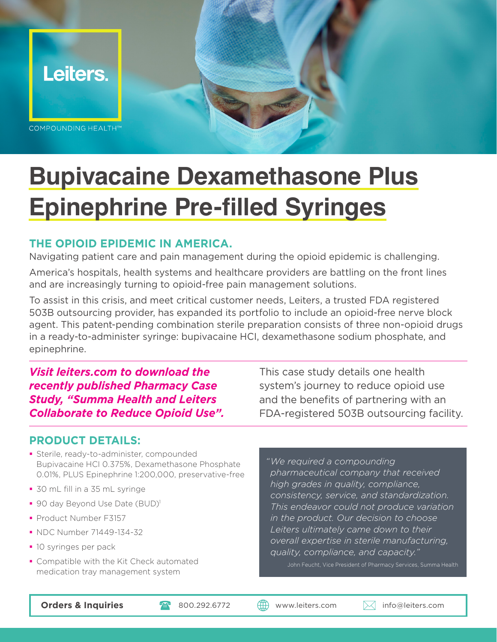

# **Bupivacaine Dexamethasone Plus Epinephrine Pre-filled Syringes**

#### **THE OPIOID EPIDEMIC IN AMERICA.**

Navigating patient care and pain management during the opioid epidemic is challenging.

America's hospitals, health systems and healthcare providers are battling on the front lines and are increasingly turning to opioid-free pain management solutions.

To assist in this crisis, and meet critical customer needs, Leiters, a trusted FDA registered 503B outsourcing provider, has expanded its portfolio to include an opioid-free nerve block agent. This patent-pending combination sterile preparation consists of three non-opioid drugs in a ready-to-administer syringe: bupivacaine HCI, dexamethasone sodium phosphate, and epinephrine.

*Visit leiters.com to download the recently published Pharmacy Case Study, "Summa Health and Leiters Collaborate to Reduce Opioid Use".* 

This case study details one health system's journey to reduce opioid use and the benefits of partnering with an FDA-registered 503B outsourcing facility.

#### **PRODUCT DETAILS:**

- **Sterile, ready-to-administer, compounded** Bupivacaine HCI 0.375%, Dexamethasone Phosphate 0.01%, PLUS Epinephrine 1:200,000, preservative-free
- 30 mL fill in a 35 mL syringe
- 90 day Beyond Use Date (BUD)<sup>1</sup>
- **Product Number F3157**
- NDC Number 71449-134-32
- **10 syringes per pack**
- Compatible with the Kit Check automated medication tray management system

*"We required a compounding pharmaceutical company that received high grades in quality, compliance, consistency, service, and standardization. This endeavor could not produce variation in the product. Our decision to choose Leiters ultimately came down to their overall expertise in sterile manufacturing, quality, compliance, and capacity."*

John Feucht, Vice President of Pharmacy Services, Summa Health

**Orders & Inquiries 1998 Marshall Communist Communist Communist Communist Communist Communist Communist Communist Communist Communist Communist Communist Communist Communist Communist Communist Communist Communist Communis**